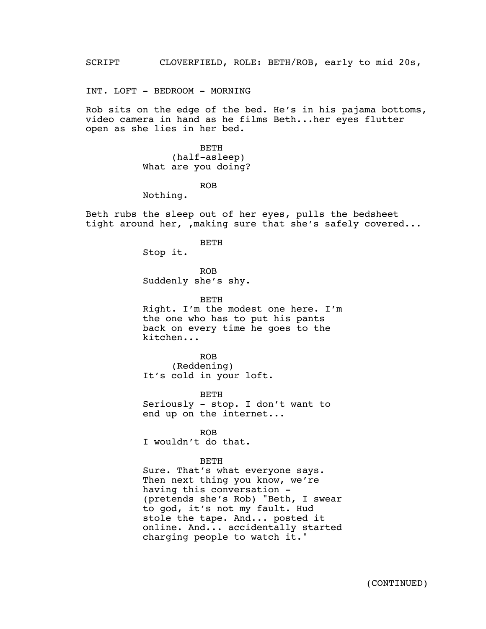SCRIPT - CLOVERFIELD, ROLE: BETH/ROB, early to mid 20s,

INT. LOFT - BEDROOM - MORNING

Rob sits on the edge of the bed. He's in his pajama bottoms, video camera in hand as he films Beth...her eyes flutter open as she lies in her bed.

> BETH (half-asleep) What are you doing?

> > ROB

Nothing.

Beth rubs the sleep out of her eyes, pulls the bedsheet tight around her, , making sure that she's safely covered...

BETH

Stop it.

ROB Suddenly she's shy.

BETH

Right. I'm the modest one here. I'm the one who has to put his pants back on every time he goes to the kitchen...

ROB (Reddening) It's cold in your loft.

BETH Seriously - stop. I don't want to end up on the internet...

ROB I wouldn't do that.

## BETH

Sure. That's what everyone says. Then next thing you know, we're having this conversation - (pretends she's Rob) "Beth, I swear to god, it's not my fault. Hud stole the tape. And... posted it online. And... accidentally started charging people to watch it."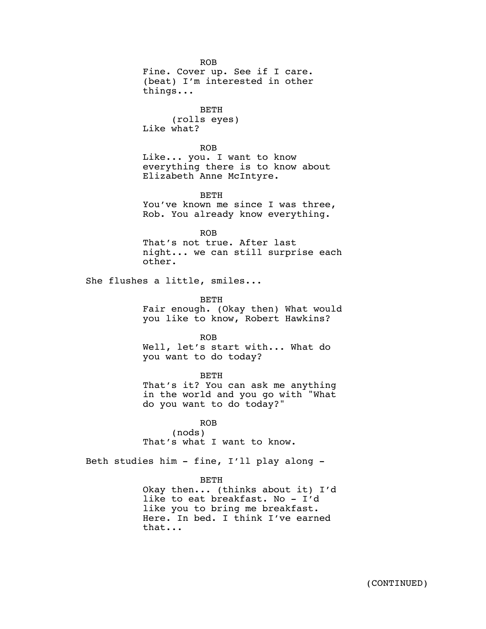ROB Fine. Cover up. See if I care. (beat) I'm interested in other things...

BETH (rolls eyes) Like what?

ROB Like... you. I want to know everything there is to know about Elizabeth Anne McIntyre.

BETH

You've known me since I was three, Rob. You already know everything.

ROB

That's not true. After last night... we can still surprise each other.

She flushes a little, smiles...

BETH Fair enough. (Okay then) What would you like to know, Robert Hawkins?

ROB Well, let's start with... What do you want to do today?

BETH That's it? You can ask me anything in the world and you go with "What do you want to do today?"

ROB (nods) That's what I want to know.

Beth studies him - fine, I'll play along -

BETH

Okay then... (thinks about it) I'd like to eat breakfast. No - I'd like you to bring me breakfast. Here. In bed. I think I've earned that...